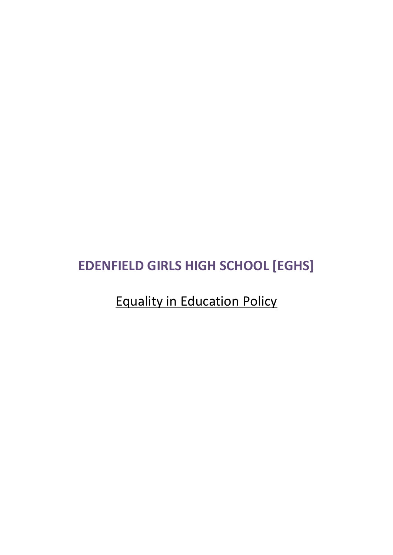## **EDENFIELD GIRLS HIGH SCHOOL [EGHS]**

# Equality in Education Policy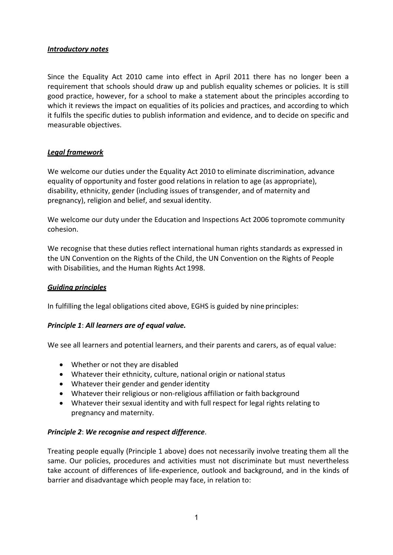#### *Introductory notes*

Since the Equality Act 2010 came into effect in April 2011 there has no longer been a requirement that schools should draw up and publish equality schemes or policies. It is still good practice, however, for a school to make a statement about the principles according to which it reviews the impact on equalities of its policies and practices, and according to which it fulfils the specific duties to publish information and evidence, and to decide on specific and measurable objectives.

## *Legal framework*

We welcome our duties under the Equality Act 2010 to eliminate discrimination, advance equality of opportunity and foster good relations in relation to age (as appropriate), disability, ethnicity, gender (including issues of transgender, and of maternity and pregnancy), religion and belief, and sexual identity.

We welcome our duty under the Education and Inspections Act 2006 topromote community cohesion.

We recognise that these duties reflect international human rights standards as expressed in the UN Convention on the Rights of the Child, the UN Convention on the Rights of People with Disabilities, and the Human Rights Act 1998.

## *Guiding principles*

In fulfilling the legal obligations cited above, EGHS is guided by nine principles:

## *Principle 1*: *All learners are of equal value.*

We see all learners and potential learners, and their parents and carers, as of equal value:

- Whether or not they are disabled
- Whatever their ethnicity, culture, national origin or national status
- Whatever their gender and gender identity
- Whatever their religious or non-religious affiliation or faith background
- Whatever their sexual identity and with full respect for legal rights relating to pregnancy and maternity.

## *Principle 2*: *We recognise and respect difference*.

Treating people equally (Principle 1 above) does not necessarily involve treating them all the same. Our policies, procedures and activities must not discriminate but must nevertheless take account of differences of life-experience, outlook and background, and in the kinds of barrier and disadvantage which people may face, in relation to: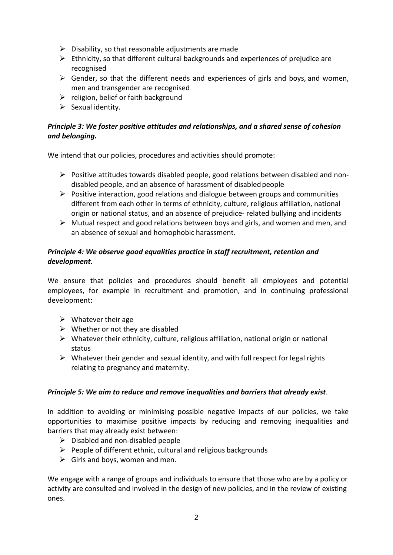- $\triangleright$  Disability, so that reasonable adjustments are made
- $\triangleright$  Ethnicity, so that different cultural backgrounds and experiences of prejudice are recognised
- $\triangleright$  Gender, so that the different needs and experiences of girls and boys, and women, men and transgender are recognised
- $\triangleright$  religion, belief or faith background
- $\triangleright$  Sexual identity.

## *Principle 3: We foster positive attitudes and relationships, and a shared sense of cohesion and belonging.*

We intend that our policies, procedures and activities should promote:

- $\triangleright$  Positive attitudes towards disabled people, good relations between disabled and nondisabled people, and an absence of harassment of disabled people
- $\triangleright$  Positive interaction, good relations and dialogue between groups and communities different from each other in terms of ethnicity, culture, religious affiliation, national origin or national status, and an absence of prejudice- related bullying and incidents
- $\triangleright$  Mutual respect and good relations between boys and girls, and women and men, and an absence of sexual and homophobic harassment.

## *Principle 4: We observe good equalities practice in staff recruitment, retention and development.*

We ensure that policies and procedures should benefit all employees and potential employees, for example in recruitment and promotion, and in continuing professional development:

- $\triangleright$  Whatever their age
- $\triangleright$  Whether or not they are disabled
- $\triangleright$  Whatever their ethnicity, culture, religious affiliation, national origin or national status
- $\triangleright$  Whatever their gender and sexual identity, and with full respect for legal rights relating to pregnancy and maternity.

## *Principle 5: We aim to reduce and remove inequalities and barriers that already exist*.

In addition to avoiding or minimising possible negative impacts of our policies, we take opportunities to maximise positive impacts by reducing and removing inequalities and barriers that may already exist between:

- $\triangleright$  Disabled and non-disabled people
- $\triangleright$  People of different ethnic, cultural and religious backgrounds
- $\triangleright$  Girls and boys, women and men.

We engage with a range of groups and individuals to ensure that those who are by a policy or activity are consulted and involved in the design of new policies, and in the review of existing ones.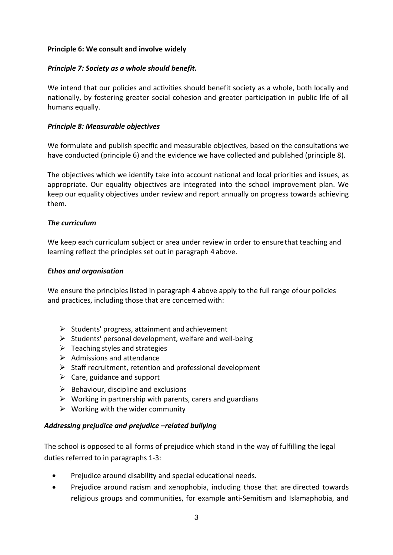#### **Principle 6: We consult and involve widely**

#### *Principle 7: Society as a whole should benefit.*

We intend that our policies and activities should benefit society as a whole, both locally and nationally, by fostering greater social cohesion and greater participation in public life of all humans equally.

#### *Principle 8: Measurable objectives*

We formulate and publish specific and measurable objectives, based on the consultations we have conducted (principle 6) and the evidence we have collected and published (principle 8).

The objectives which we identify take into account national and local priorities and issues, as appropriate. Our equality objectives are integrated into the school improvement plan. We keep our equality objectives under review and report annually on progress towards achieving them.

#### *The curriculum*

We keep each curriculum subject or area under review in order to ensurethat teaching and learning reflect the principles set out in paragraph 4 above.

#### *Ethos and organisation*

We ensure the principles listed in paragraph 4 above apply to the full range of our policies and practices, including those that are concerned with:

- $\triangleright$  Students' progress, attainment and achievement
- $\triangleright$  Students' personal development, welfare and well-being
- $\triangleright$  Teaching styles and strategies
- $\triangleright$  Admissions and attendance
- $\triangleright$  Staff recruitment, retention and professional development
- $\triangleright$  Care, guidance and support
- $\triangleright$  Behaviour, discipline and exclusions
- $\triangleright$  Working in partnership with parents, carers and guardians
- $\triangleright$  Working with the wider community

#### *Addressing prejudice and prejudice –related bullying*

The school is opposed to all forms of prejudice which stand in the way of fulfilling the legal duties referred to in paragraphs 1-3:

- Prejudice around disability and special educational needs.
- Prejudice around racism and xenophobia, including those that are directed towards religious groups and communities, for example anti-Semitism and Islamaphobia, and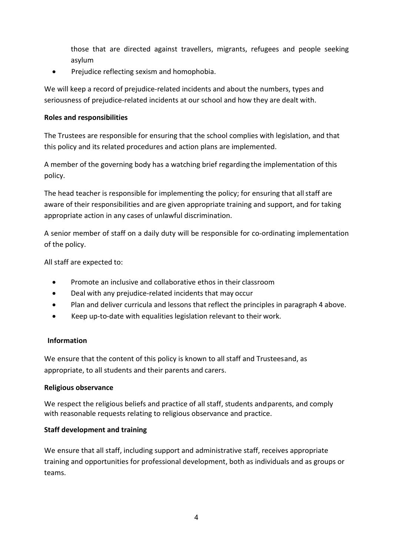those that are directed against travellers, migrants, refugees and people seeking asylum

• Prejudice reflecting sexism and homophobia.

We will keep a record of prejudice-related incidents and about the numbers, types and seriousness of prejudice-related incidents at our school and how they are dealt with.

## **Roles and responsibilities**

The Trustees are responsible for ensuring that the school complies with legislation, and that this policy and its related procedures and action plans are implemented.

A member of the governing body has a watching brief regarding the implementation of this policy.

The head teacher is responsible for implementing the policy; for ensuring that all staff are aware of their responsibilities and are given appropriate training and support, and for taking appropriate action in any cases of unlawful discrimination.

A senior member of staff on a daily duty will be responsible for co-ordinating implementation of the policy.

All staff are expected to:

- Promote an inclusive and collaborative ethos in their classroom
- Deal with any prejudice-related incidents that may occur
- Plan and deliver curricula and lessons that reflect the principles in paragraph 4 above.
- Keep up-to-date with equalities legislation relevant to their work.

## **Information**

We ensure that the content of this policy is known to all staff and Trusteesand, as appropriate, to all students and their parents and carers.

## **Religious observance**

We respect the religious beliefs and practice of all staff, students and parents, and comply with reasonable requests relating to religious observance and practice.

## **Staff development and training**

We ensure that all staff, including support and administrative staff, receives appropriate training and opportunities for professional development, both as individuals and as groups or teams.